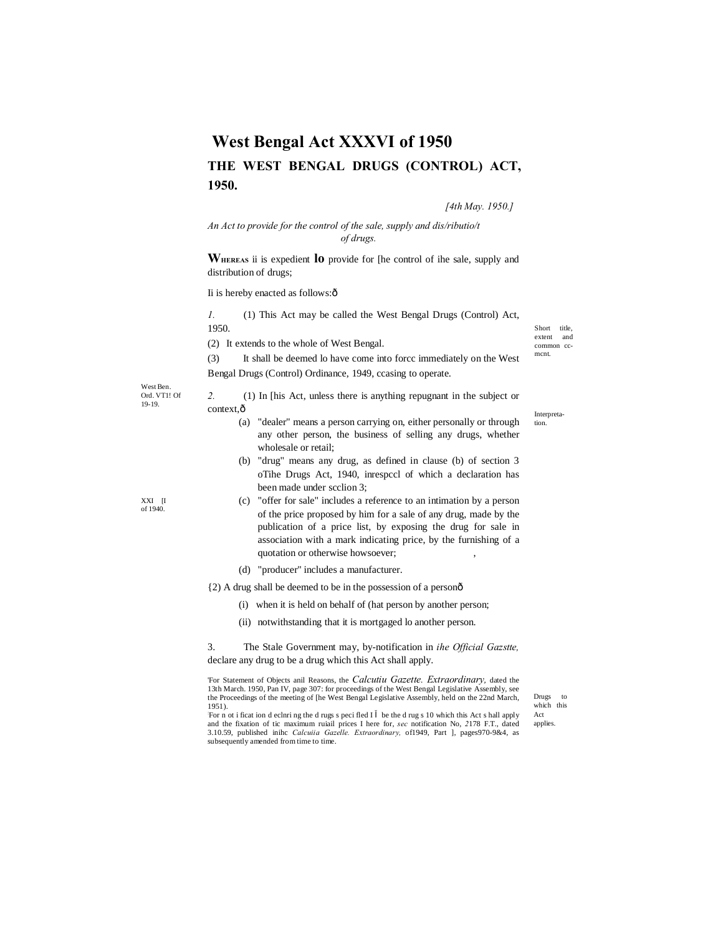# **West Bengal Act XXXVI of 1950 THE WEST BENGAL DRUGS (CONTROL) ACT, 1950.**

*[4th May. 1950.]*

*An Act to provide for the control of the sale, supply and dis/ributio/t of drugs.*

**WHEREAS** ii is expedient **lo** provide for [he control of ihe sale, supply and distribution of drugs;

Ii is hereby enacted as follows: $\hat{o}$ 

*1.* (1) This Act may be called the West Bengal Drugs (Control) Act, 1950.

(2) It extends to the whole of West Bengal.

(3) It shall be deemed lo have come into forcc immediately on the West Bengal Drugs (Control) Ordinance, 1949, ccasing to operate.

West Ben. Ord. VT1! Of 19-19.

XXI [I of 1940.

*2.* (1) In [his Act, unless there is anything repugnant in the subject or context, $\hat{o}$ 

- (a) "dealer" means a person carrying on, either personally or through any other person, the business of selling any drugs, whether wholesale or retail;
- (b) "drug" means any drug, as defined in clause (b) of section 3 oTihe Drugs Act, 1940, inrespccl of which a declaration has been made under scclion 3;
- (c) "offer for sale" includes a reference to an intimation by a person of the price proposed by him for a sale of any drug, made by the publication of a price list, by exposing the drug for sale in association with a mark indicating price, by the furnishing of a quotation or otherwise howsoever;
- (d) "producer" includes a manufacturer.

{2) A drug shall be deemed to be in the possession of a person—

- (i) when it is held on behalf of (hat person by another person;
- (ii) notwithstanding that it is mortgaged lo another person.

3. The Stale Government may, by-notification in *ihe Official Gazstte,*  declare any drug to be a drug which this Act shall apply.

'For Statement of Objects anil Reasons, the *Calcutiu Gazette. Extraordinary,* dated the 13th March. 1950, Pan IV, page 307: for proceedings of the West Bengal Legislative Assembly, see the Proceedings of the meeting of [he West Bengal Legislative Assembly, held on the 22nd March, 1951).

Drugs to which this Act applies.

: For n ot i ficat ion d eclnri ng the d rugs s peci fled I be the d rug s 10 which this Act s hall apply and the fixation of tic maximum ruiail prices I here for, *sec* notification No, *2*178 F.T., dated 3.10.59, published inihc *Calcuiia Gazelle. Extraordinary,* of1949, Part ], pages970-9&4, as subsequently amended from time to time.

Short title, extent and common ccmcnt.

Interpretation.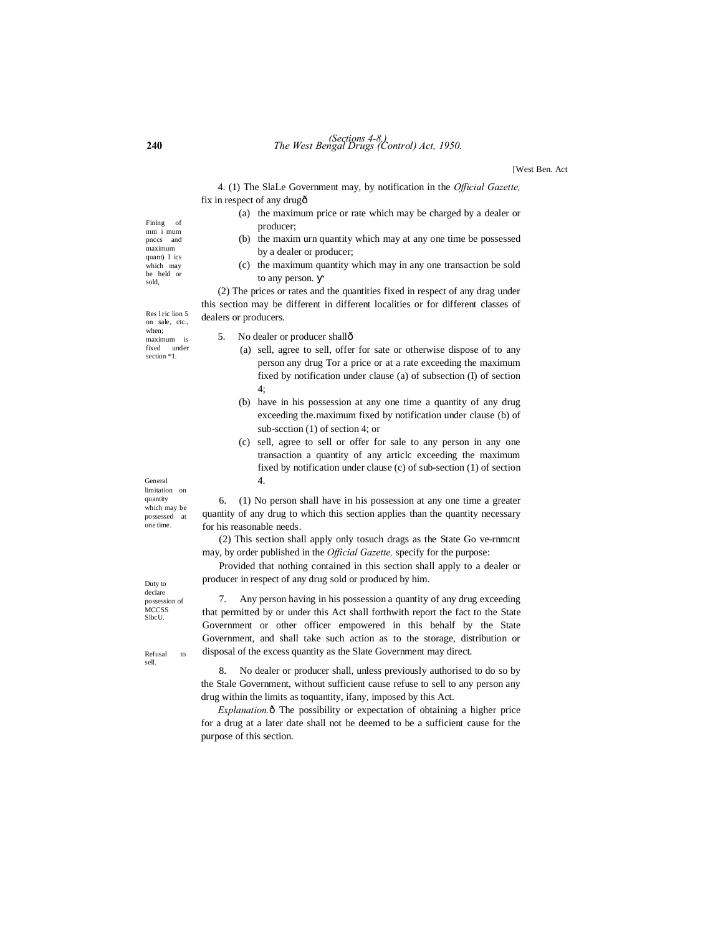# **240** *The West Bengal Drugs (Control) Act, 1950. (Sections 4-8.)*

[West Ben. Act

4. (1) The SlaLe Government may, by notification in the *Official Gazette,* fix in respect of any drug—

- (a) the maximum price or rate which may be charged by a dealer or producer;
- (b) the maxim urn quantity which may at any one time be possessed by a dealer or producer;
- (c) the maximum quantity which may in any one transaction be sold to any person.

(2) The prices or rates and the quantities fixed in respect of any drag under this section may be different in different localities or for different classes of dealers or producers.

Res l ric lion 5 on sale, ctc., when; maximum is fixed under section  $*1$ .

- 5. No dealer or producer shallô
	- (a) sell, agree to sell, offer for sate or otherwise dispose of to any person any drug Tor a price or at a rate exceeding the maximum fixed by notification under clause (a) of subsection (I) of section 4;
	- (b) have in his possession at any one time a quantity of any drug exceeding the.maximum fixed by notification under clause (b) of sub-scction (1) of section 4; or
	- (c) sell, agree to sell or offer for sale to any person in any one transaction a quantity of any articlc exceeding the maximum fixed by notification under clause (c) of sub-section (1) of section 4.

General limitation on quantity which may be

6. (1) No person shall have in his possession at any one time a greater quantity of any drug to which this section applies than the quantity necessary for his reasonable needs.

(2) This section shall apply only tosuch drags as the State Go ve-rnmcnt may, by order published in the *Official Gazette,* specify for the purpose:

Provided that nothing contained in this section shall apply to a dealer or producer in respect of any drug sold or produced by him.

7. Any person having in his possession a quantity of any drug exceeding that permitted by or under this Act shall forthwith report the fact to the State Government or other officer empowered in this behalf by the State Government, and shall take such action as to the storage, distribution or disposal of the excess quantity as the Slate Government may direct.

8. No dealer or producer shall, unless previously authorised to do so by the Stale Government, without sufficient cause refuse to sell to any person any drug within the limits as toquantity, ifany, imposed by this Act.

*Explanation.* $\hat{o}$  The possibility or expectation of obtaining a higher price for a drug at a later date shall not be deemed to be a sufficient cause for the purpose of this section.

possessed at one time.

Duty to declare possession of MCCSS SlbcU.

Refusal to sell.

Fining of mm i mum pnccs and maximum quant) I ics which may be held or sold,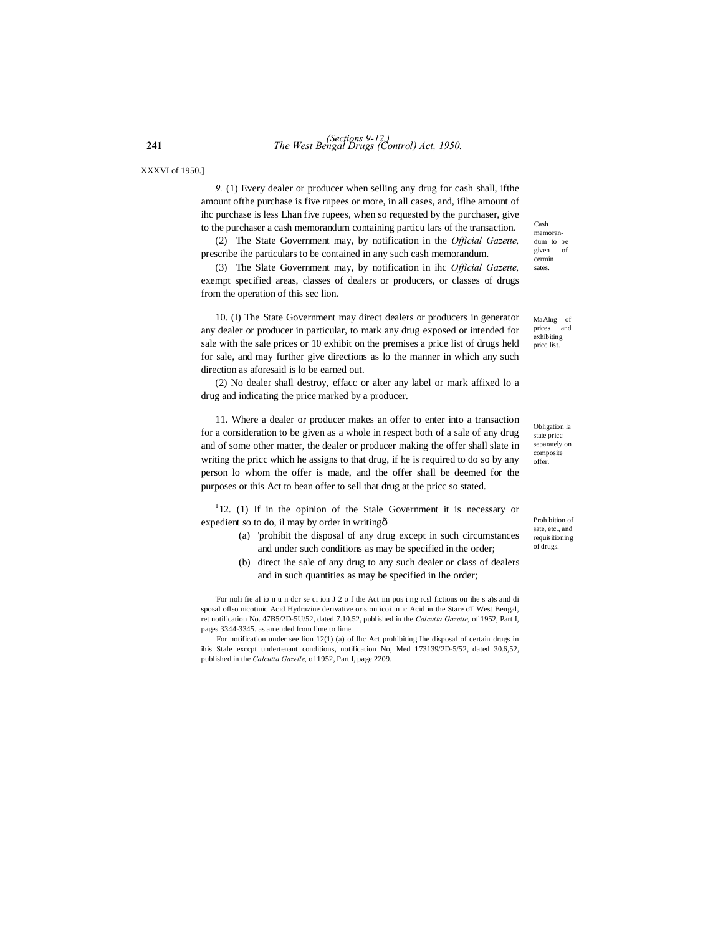XXXVI of 1950.]

*9.* (1) Every dealer or producer when selling any drug for cash shall, ifthe amount ofthe purchase is five rupees or more, in all cases, and, iflhe amount of ihc purchase is less Lhan five rupees, when so requested by the purchaser, give to the purchaser a cash memorandum containing particu lars of the transaction.

(2) The State Government may, by notification in the *Official Gazette,* prescribe ihe particulars to be contained in any such cash memorandum.

(3) The Slate Government may, by notification in ihc *Official Gazette,*  exempt specified areas, classes of dealers or producers, or classes of drugs from the operation of this sec lion.

10. (I) The State Government may direct dealers or producers in generator any dealer or producer in particular, to mark any drug exposed or intended for sale with the sale prices or 10 exhibit on the premises a price list of drugs held for sale, and may further give directions as lo the manner in which any such direction as aforesaid is lo be earned out.

(2) No dealer shall destroy, effacc or alter any label or mark affixed lo a drug and indicating the price marked by a producer.

11. Where a dealer or producer makes an offer to enter into a transaction for a consideration to be given as a whole in respect both of a sale of any drug and of some other matter, the dealer or producer making the offer shall slate in writing the pricc which he assigns to that drug, if he is required to do so by any person lo whom the offer is made, and the offer shall be deemed for the purposes or this Act to bean offer to sell that drug at the pricc so stated.

<sup>1</sup>12. (1) If in the opinion of the Stale Government it is necessary or expedient so to do, il may by order in writing—

- (a) 'prohibit the disposal of any drug except in such circumstances and under such conditions as may be specified in the order;
- (b) direct ihe sale of any drug to any such dealer or class of dealers and in such quantities as may be specified in Ihe order;

'For noli fie al io n u n dcr se ci ion J 2 o f the Act im pos i ng rcsl fictions on ihe s a)s and di sposal oflso nicotinic Acid Hydrazine derivative oris on icoi in ic Acid in the Stare oT West Bengal, ret notification No. 47B5/2D-5U/52, dated 7.10.52, published in the *Calcutta Gazette,* of 1952, Part I, pages 3344-3345. as amended from lime to lime.

: For notification under see lion 12(1) (a) of Ihc Act prohibiting Ihe disposal of certain drugs in ihis Stale exccpt undertenant conditions, notification No, Med 173139/2D-5/52, dated 30.6,52, published in the *Calcutta Gazelle,* of 1952, Part I, page 2209.

Cash memorandum to be given of cermin sates.

MaAlng of prices and exhibiting pricc list.

Obligation la state pricc separately on composite offer.

Prohibition of sate, etc., and requisitioning of drugs.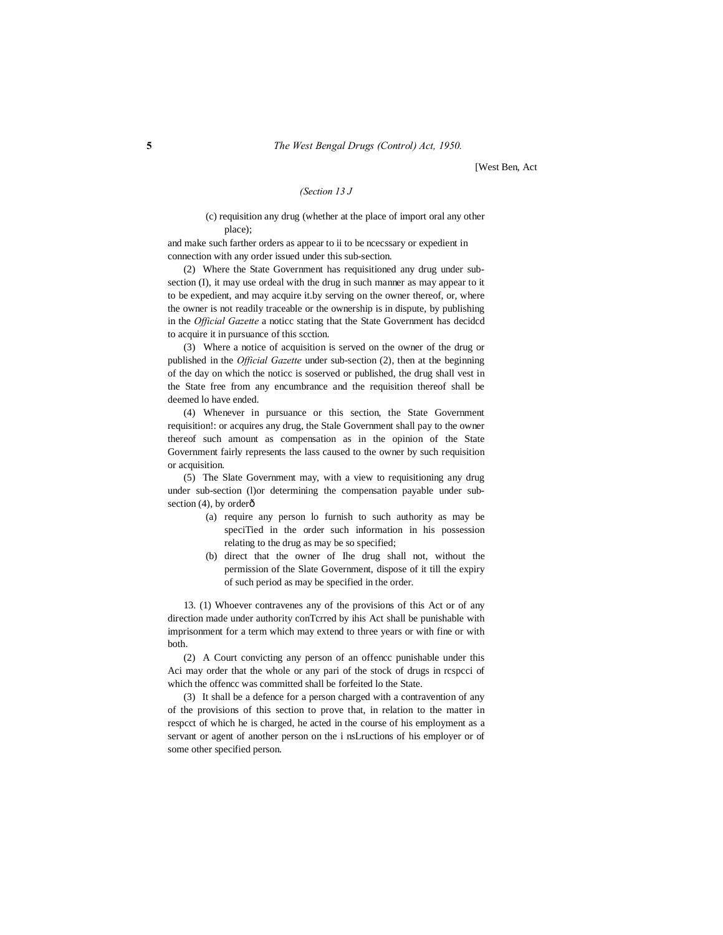[West Ben, Act

#### *(Section 13 J*

#### (c) requisition any drug (whether at the place of import oral any other place);

and make such farther orders as appear to ii to be ncecssary or expedient in connection with any order issued under this sub-section.

(2) Where the State Government has requisitioned any drug under subsection (I), it may use ordeal with the drug in such manner as may appear to it to be expedient, and may acquire it.by serving on the owner thereof, or, where the owner is not readily traceable or the ownership is in dispute, by publishing in the *Official Gazette* a noticc stating that the State Government has decidcd to acquire it in pursuance of this scction.

(3) Where a notice of acquisition is served on the owner of the drug or published in the *Official Gazette* under sub-section (2), then at the beginning of the day on which the noticc is soserved or published, the drug shall vest in the State free from any encumbrance and the requisition thereof shall be deemed lo have ended.

(4) Whenever in pursuance or this section, the State Government requisition!: or acquires any drug, the Stale Government shall pay to the owner thereof such amount as compensation as in the opinion of the State Government fairly represents the lass caused to the owner by such requisition or acquisition.

(5) The Slate Government may, with a view to requisitioning any drug under sub-section (l)or determining the compensation payable under subsection  $(4)$ , by order $\hat{0}$ 

- (a) require any person lo furnish to such authority as may be speciTied in the order such information in his possession relating to the drug as may be so specified;
- (b) direct that the owner of Ihe drug shall not, without the permission of the Slate Government, dispose of it till the expiry of such period as may be specified in the order.

13. (1) Whoever contravenes any of the provisions of this Act or of any direction made under authority conTcrred by ihis Act shall be punishable with imprisonment for a term which may extend to three years or with fine or with both.

(2) A Court convicting any person of an offencc punishable under this Aci may order that the whole or any pari of the stock of drugs in rcspcci of which the offencc was committed shall be forfeited lo the State.

(3) It shall be a defence for a person charged with a contravention of any of the provisions of this section to prove that, in relation to the matter in respcct of which he is charged, he acted in the course of his employment as a servant or agent of another person on the i nsLructions of his employer or of some other specified person.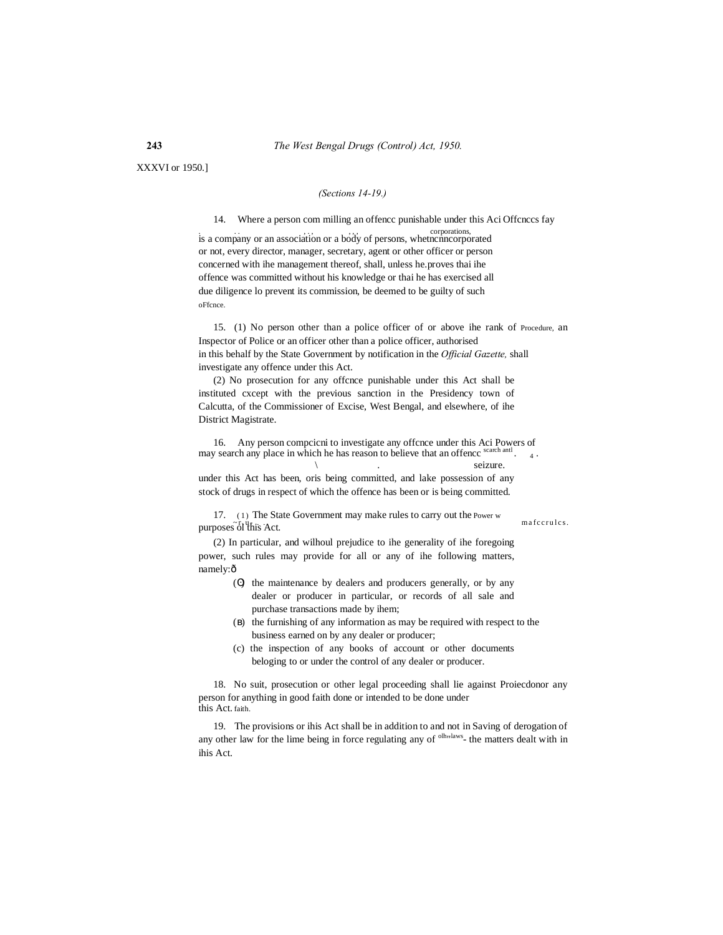XXXVI or 1950.]

### *(Sections 14-19.)*

14. Where a person com milling an offencc punishable under this Aci Offcnccs fay

is a company or an association or a body of persons, whetncnncorporated or not, every director, manager, secretary, agent or other officer or person concerned with ihe management thereof, shall, unless he.proves thai ihe offence was committed without his knowledge or thai he has exercised all due diligence lo prevent its commission, be deemed to be guilty of such oFfcnce.

15. (1) No person other than a police officer of or above ihe rank of Procedure, an Inspector of Police or an officer other than a police officer, authorised in this behalf by the State Government by notification in the *Official Gazette,* shall investigate any offence under this Act.

(2) No prosecution for any offcnce punishable under this Act shall be instituted cxcept with the previous sanction in the Presidency town of Calcutta, of the Commissioner of Excise, West Bengal, and elsewhere, of ihe District Magistrate.

16. Any person compcicni to investigate any offcnce under this Aci Powers of may search any place in which he has reason to believe that an offence search and  $\frac{1}{4}$ .  $\sqrt{ }$ 

under this Act has been, oris being committed, and lake possession of any stock of drugs in respect of which the offence has been or is being committed.

17. (1) The State Government may make rules to carry out the Power w  $\frac{1}{2}$  materules.

(2) In particular, and wilhoul prejudice to ihe generality of ihe foregoing power, such rules may provide for all or any of ihe following matters, namely: $\hat{o}$ 

- ( ) the maintenance by dealers and producers generally, or by any dealer or producer in particular, or records of all sale and purchase transactions made by ihem;
- ( ) the furnishing of any information as may be required with respect to the business earned on by any dealer or producer;
- (c) the inspection of any books of account or other documents beloging to or under the control of any dealer or producer.

18. No suit, prosecution or other legal proceeding shall lie against Proiecdonor any person for anything in good faith done or intended to be done under this Act. faith.

19. The provisions or ihis Act shall be in addition to and not in Saving of derogation of any other law for the lime being in force regulating any of <sup>olh<sub>"</sub>laws</sup>- the matters dealt with in ihis Act.